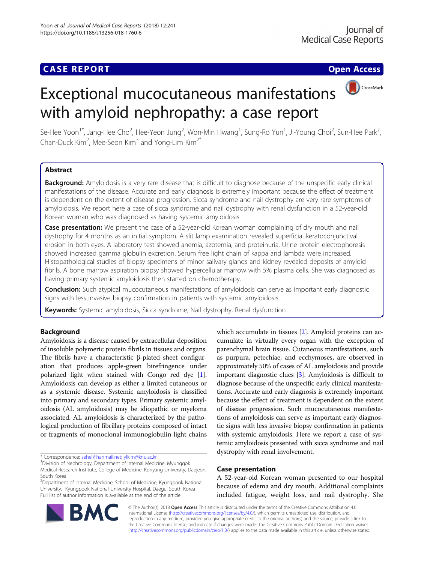CrossMark

# Exceptional mucocutaneous manifestations with amyloid nephropathy: a case report

Se-Hee Yoon<sup>1\*</sup>, Jang-Hee Cho<sup>2</sup>, Hee-Yeon Jung<sup>2</sup>, Won-Min Hwang<sup>1</sup>, Sung-Ro Yun<sup>1</sup>, Ji-Young Choi<sup>2</sup>, Sun-Hee Park<sup>2</sup> .<br>, Chan-Duck Kim<sup>2</sup>, Mee-Seon Kim<sup>3</sup> and Yong-Lim Kim<sup>2\*</sup>

# Abstract

Background: Amyloidosis is a very rare disease that is difficult to diagnose because of the unspecific early clinical manifestations of the disease. Accurate and early diagnosis is extremely important because the effect of treatment is dependent on the extent of disease progression. Sicca syndrome and nail dystrophy are very rare symptoms of amyloidosis. We report here a case of sicca syndrome and nail dystrophy with renal dysfunction in a 52-year-old Korean woman who was diagnosed as having systemic amyloidosis.

Case presentation: We present the case of a 52-year-old Korean woman complaining of dry mouth and nail dystrophy for 4 months as an initial symptom. A slit lamp examination revealed superficial keratoconjunctival erosion in both eyes. A laboratory test showed anemia, azotemia, and proteinuria. Urine protein electrophoresis showed increased gamma globulin excretion. Serum free light chain of kappa and lambda were increased. Histopathological studies of biopsy specimens of minor salivary glands and kidney revealed deposits of amyloid fibrils. A bone marrow aspiration biopsy showed hypercellular marrow with 5% plasma cells. She was diagnosed as having primary systemic amyloidosis then started on chemotherapy.

**Conclusion:** Such atypical mucocutaneous manifestations of amyloidosis can serve as important early diagnostic signs with less invasive biopsy confirmation in patients with systemic amyloidosis.

Keywords: Systemic amyloidosis, Sicca syndrome, Nail dystrophy, Renal dysfunction

# Background

Amyloidosis is a disease caused by extracellular deposition of insoluble polymeric protein fibrils in tissues and organs. The fibrils have a characteristic β-plated sheet configuration that produces apple-green birefringence under polarized light when stained with Congo red dye [[1](#page-4-0)]. Amyloidosis can develop as either a limited cutaneous or as a systemic disease. Systemic amyloidosis is classified into primary and secondary types. Primary systemic amyloidosis (AL amyloidosis) may be idiopathic or myeloma associated. AL amyloidosis is characterized by the pathological production of fibrillary proteins composed of intact or fragments of monoclonal immunoglobulin light chains

\* Correspondence: [sehei@hanmail.net](mailto:sehei@hanmail.net); [ylkim@knu.ac.kr](mailto:ylkim@knu.ac.kr) <sup>1</sup>

cumulate in virtually every organ with the exception of parenchymal brain tissue. Cutaneous manifestations, such as purpura, petechiae, and ecchymoses, are observed in approximately 50% of cases of AL amyloidosis and provide important diagnostic clues [\[3](#page-4-0)]. Amyloidosis is difficult to diagnose because of the unspecific early clinical manifestations. Accurate and early diagnosis is extremely important because the effect of treatment is dependent on the extent of disease progression. Such mucocutaneous manifestations of amyloidosis can serve as important early diagnostic signs with less invasive biopsy confirmation in patients with systemic amyloidosis. Here we report a case of systemic amyloidosis presented with sicca syndrome and nail dystrophy with renal involvement.

which accumulate in tissues [\[2](#page-4-0)]. Amyloid proteins can ac-

# Case presentation

A 52-year-old Korean woman presented to our hospital because of edema and dry mouth. Additional complaints included fatigue, weight loss, and nail dystrophy. She



© The Author(s). 2018 Open Access This article is distributed under the terms of the Creative Commons Attribution 4.0 International License [\(http://creativecommons.org/licenses/by/4.0/](http://creativecommons.org/licenses/by/4.0/)), which permits unrestricted use, distribution, and reproduction in any medium, provided you give appropriate credit to the original author(s) and the source, provide a link to the Creative Commons license, and indicate if changes were made. The Creative Commons Public Domain Dedication waiver [\(http://creativecommons.org/publicdomain/zero/1.0/](http://creativecommons.org/publicdomain/zero/1.0/)) applies to the data made available in this article, unless otherwise stated.

<sup>&</sup>lt;sup>1</sup> Division of Nephrology, Department of Internal Medicine, Myunggok Medical Research Institute, College of Medicine, Konyang University, Daejeon, South Korea

<sup>&</sup>lt;sup>2</sup>Department of Internal Medicine, School of Medicine, Kyungpook National University, Kyungpook National University Hospital, Daegu, South Korea Full list of author information is available at the end of the article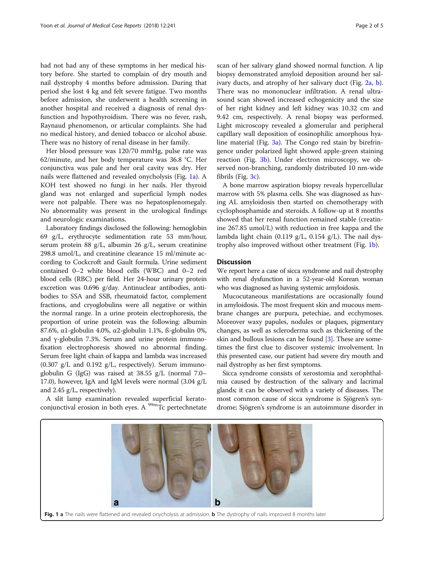had not had any of these symptoms in her medical history before. She started to complain of dry mouth and nail dystrophy 4 months before admission. During that period she lost 4 kg and felt severe fatigue. Two months before admission, she underwent a health screening in another hospital and received a diagnosis of renal dysfunction and hypothyroidism. There was no fever, rash, Raynaud phenomenon, or articular complaints. She had no medical history, and denied tobacco or alcohol abuse. There was no history of renal disease in her family.

Her blood pressure was 120/70 mmHg, pulse rate was 62/minute, and her body temperature was 36.8 °C. Her conjunctiva was pale and her oral cavity was dry. Her nails were flattened and revealed onycholysis (Fig. 1a). A KOH test showed no fungi in her nails. Her thyroid gland was not enlarged and superficial lymph nodes were not palpable. There was no hepatosplenomegaly. No abnormality was present in the urological findings and neurologic examinations.

Laboratory findings disclosed the following: hemoglobin 69 g/L, erythrocyte sedimentation rate 53 mm/hour, serum protein 88 g/L, albumin 26 g/L, serum creatinine 298.8 umol/L, and creatinine clearance 15 ml/minute according to Cockcroft and Gault formula. Urine sediment contained 0–2 white blood cells (WBC) and 0–2 red blood cells (RBC) per field. Her 24-hour urinary protein excretion was 0.696 g/day. Antinuclear antibodies, antibodies to SSA and SSB, rheumatoid factor, complement fractions, and cryoglobulins were all negative or within the normal range. In a urine protein electrophoresis, the proportion of urine protein was the following: albumin 87.6%, α1-globulin 4.0%, α2-globulin 1.1%, ß-globulin 0%, and γ-globulin 7.3%. Serum and urine protein immunofixation electrophoresis showed no abnormal finding. Serum free light chain of kappa and lambda was increased (0.307 g/L and 0.192 g/L, respectively). Serum immunoglobulin G (IgG) was raised at 38.55 g/L (normal 7.0– 17.0), however, IgA and IgM levels were normal (3.04 g/L and 2.45 g/L, respectively).

A slit lamp examination revealed superficial keratoconjunctival erosion in both eyes. A  $^{99m}$ Tc pertechnetate scan of her salivary gland showed normal function. A lip biopsy demonstrated amyloid deposition around her salivary ducts, and atrophy of her salivary duct (Fig. [2a](#page-2-0), [b](#page-2-0)). There was no mononuclear infiltration. A renal ultrasound scan showed increased echogenicity and the size of her right kidney and left kidney was 10.32 cm and 9.42 cm, respectively. A renal biopsy was performed. Light microscopy revealed a glomerular and peripheral capillary wall deposition of eosinophilic amorphous hyaline material (Fig. [3a](#page-2-0)). The Congo red stain by birefringence under polarized light showed apple-green staining reaction (Fig. [3b](#page-2-0)). Under electron microscopy, we observed non-branching, randomly distributed 10 nm-wide fibrils (Fig. [3c\)](#page-2-0).

A bone marrow aspiration biopsy reveals hypercellular marrow with 5% plasma cells. She was diagnosed as having AL amyloidosis then started on chemotherapy with cyclophosphamide and steroids. A follow-up at 8 months showed that her renal function remained stable (creatinine 267.85 umol/L) with reduction in free kappa and the lambda light chain (0.119 g/L, 0.154 g/L). The nail dystrophy also improved without other treatment (Fig. 1b).

# **Discussion**

We report here a case of sicca syndrome and nail dystrophy with renal dysfunction in a 52-year-old Korean woman who was diagnosed as having systemic amyloidosis.

Mucocutaneous manifestations are occasionally found in amyloidosis. The most frequent skin and mucous membrane changes are purpura, petechiae, and ecchymoses. Moreover waxy papules, nodules or plaques, pigmentary changes, as well as scleroderma such as thickening of the skin and bullous lesions can be found [\[3\]](#page-4-0). These are sometimes the first clue to discover systemic involvement. In this presented case, our patient had severe dry mouth and nail dystrophy as her first symptoms.

Sicca syndrome consists of xerostomia and xerophthalmia caused by destruction of the salivary and lacrimal glands; it can be observed with a variety of diseases. The most common cause of sicca syndrome is Sjögren's syndrome; Sjögren's syndrome is an autoimmune disorder in

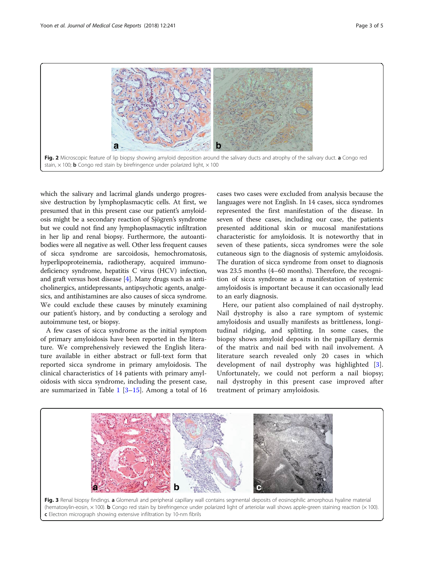<span id="page-2-0"></span>

which the salivary and lacrimal glands undergo progressive destruction by lymphoplasmacytic cells. At first, we presumed that in this present case our patient's amyloidosis might be a secondary reaction of Sjögren's syndrome but we could not find any lymphoplasmacytic infiltration in her lip and renal biopsy. Furthermore, the autoantibodies were all negative as well. Other less frequent causes of sicca syndrome are sarcoidosis, hemochromatosis, hyperlipoproteinemia, radiotherapy, acquired immunodeficiency syndrome, hepatitis C virus (HCV) infection, and graft versus host disease [\[4](#page-4-0)]. Many drugs such as anticholinergics, antidepressants, antipsychotic agents, analgesics, and antihistamines are also causes of sicca syndrome. We could exclude these causes by minutely examining our patient's history, and by conducting a serology and autoimmune test, or biopsy.

A few cases of sicca syndrome as the initial symptom of primary amyloidosis have been reported in the literature. We comprehensively reviewed the English literature available in either abstract or full-text form that reported sicca syndrome in primary amyloidosis. The clinical characteristics of 14 patients with primary amyloidosis with sicca syndrome, including the present case, are summarized in Table  $1$  [\[3](#page-4-0)-[15](#page-4-0)]. Among a total of 16

cases two cases were excluded from analysis because the languages were not English. In 14 cases, sicca syndromes represented the first manifestation of the disease. In seven of these cases, including our case, the patients presented additional skin or mucosal manifestations characteristic for amyloidosis. It is noteworthy that in seven of these patients, sicca syndromes were the sole cutaneous sign to the diagnosis of systemic amyloidosis. The duration of sicca syndrome from onset to diagnosis was 23.5 months (4–60 months). Therefore, the recognition of sicca syndrome as a manifestation of systemic amyloidosis is important because it can occasionally lead to an early diagnosis.

Here, our patient also complained of nail dystrophy. Nail dystrophy is also a rare symptom of systemic amyloidosis and usually manifests as brittleness, longitudinal ridging, and splitting. In some cases, the biopsy shows amyloid deposits in the papillary dermis of the matrix and nail bed with nail involvement. A literature search revealed only 20 cases in which development of nail dystrophy was highlighted [\[3](#page-4-0)]. Unfortunately, we could not perform a nail biopsy; nail dystrophy in this present case improved after treatment of primary amyloidosis.

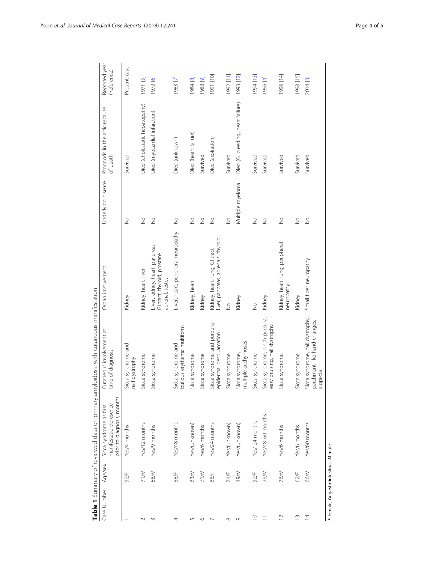<span id="page-3-0"></span>

|                |             |                                                                                 | Table 1 Summary of reviewed data on primary amyloidosis with cutaneous manifestation |                                                                                    |                    |                                            |                              |
|----------------|-------------|---------------------------------------------------------------------------------|--------------------------------------------------------------------------------------|------------------------------------------------------------------------------------|--------------------|--------------------------------------------|------------------------------|
| Case Number    | Age/sex     | prior to diagnosis, months<br>manifestation/presence<br>Sicca syndrome as first | Cutaneous involvement at<br>time of diagnosis                                        | Organ involvement                                                                  | Underlying disease | Prognosis in the article/cause<br>of death | Reported year<br>(Reference) |
|                | 52/F        | Yes/4 months                                                                    | Sicca syndrome and<br>dystrophy<br>nail                                              | Kidney                                                                             | $\frac{1}{2}$      | Survived                                   | Present case                 |
| $\sim$         | 71/M        | Yes/12 months                                                                   | Sicca syndrome                                                                       | Kidney, heart, liver                                                               | $\frac{1}{2}$      | Died (cholestatic hepatopathy)             | 1971 [5]                     |
| $\sim$         | 68/M        | Yes/9 months                                                                    | Sicca syndrome                                                                       | Liver, kidney, heart, pancreas,<br>GI tract, thyroid, prostate,<br>adrenal, testes | $\frac{1}{2}$      | Died (myocardial infarction)               | 1972 [6]                     |
| 4              | 58/F        | Yes/48 months                                                                   | bullous erythema multiform<br>Sicca syndrome and                                     | Liver, heart, peripheral neuropathy                                                | $\frac{1}{2}$      | Died (unknown)                             | 1983 [7]                     |
| 5              | 63/M        | Yes/(unknown)                                                                   | Sicca syndrome                                                                       | Kidney, heart                                                                      | $\frac{1}{2}$      | Died (heart failure)                       | 1984 [8]                     |
| $\circ$        | 71/M        | Yes/6 months                                                                    | Sicca syndrome                                                                       | Kidney                                                                             | $\frac{1}{2}$      | Survived                                   | 1988 [9]                     |
| ∼              | 66/F        | Yes/24 months                                                                   | Sicca syndrome and purpura,<br>termal desquamation<br>epid                           | liver, pancreas, adrenals, thyroid<br>Kidney, heart, lung, GI tract,               | $\geq$             | Died (aspiration)                          | [01] 1661                    |
| $\infty$       | 74/F        | Yes/(unknown)                                                                   | Sicca syndrome                                                                       | $\frac{1}{2}$                                                                      | $\frac{1}{2}$      | Survived                                   | $[11]$ 2661                  |
| Ò              | <b>M/67</b> | Yes/(unknown)                                                                   | multiple ecchymoses<br>Sicca syndrome,                                               | Kidney                                                                             | Multiple myeloma   | Died (GI bleeding, heart failure)          | 1993 [12]                    |
| $\supseteq$    | 52/F        | Yes/ 24 months                                                                  | Sicca syndrome                                                                       | $\frac{1}{2}$                                                                      | $\frac{1}{2}$      | Survived                                   | 1994 [13]                    |
|                | <b>M/6Z</b> | Yes/48-60 months                                                                | Sicca syndrome, pinch purpura,<br>easy bruising, nail dystrophy                      | Kidney                                                                             | $\frac{1}{2}$      | Survived                                   | 1996 [4]                     |
| $\square$      | 76/M        | Yes/6 months                                                                    | Sicca syndrome                                                                       | Kidney, heart, lung, peripheral<br>neuropathy                                      | $\geq$             | Survived                                   | [41] 996                     |
| $\frac{1}{2}$  | 62/F        | Yes/6 months                                                                    | Sicca syndrome                                                                       | Kidney                                                                             | $\frac{1}{2}$      | Survived                                   | [5] 8661                     |
| $\overline{4}$ | 66/M        | Yes/60 months                                                                   | Sicca syndrome, nail dystrophy,<br>parchment-like hand changes,<br>alopecia          | Small fiber neuropathy                                                             | $\frac{1}{2}$      | Survived                                   | 2014 [3]                     |

F female, GI gastrointestinal, M male female, GI gastrointestinal, M male